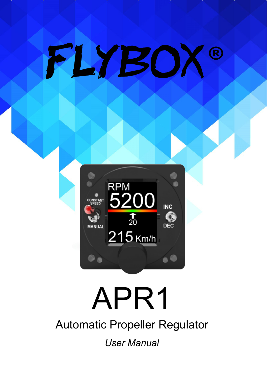



# APR1

Automatic Propeller Regulator

*User Manual*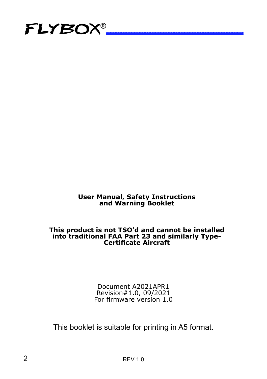

#### **User Manual, Safety Instructions and Warning Booklet**

#### **This product is not TSO'd and cannot be installed into traditional FAA Part 23 and similarly Type-Certificate Aircraft**

Document A2021APR1 Revision#1.0, 09/2021 For firmware version 1.0

This booklet is suitable for printing in A5 format.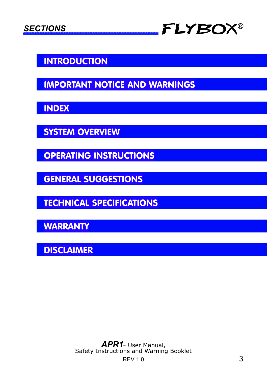

#### INTRODUCTION

IMPORTANT NOTICE AND WARNINGS

INDEX

SYSTEM OVERVIEW

OPERATING INSTRUCTIONS

GENERAL SUGGESTIONS

TECHNICAL SPECIFICATIONS

**WARRANTY** 

DISCLAIMER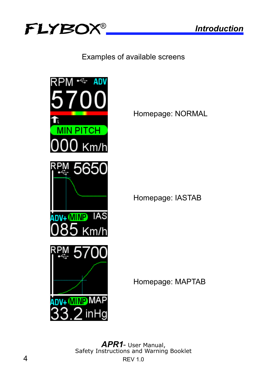

Examples of available screens



Homepage: NORMAL

Homepage: IASTAB

Homepage: MAPTAB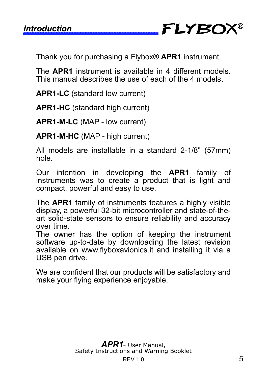*Introduction* FLYBOX ®

Thank you for purchasing a Flybox® **APR1** instrument.

The **APR1** instrument is available in 4 different models. This manual describes the use of each of the 4 models.

**APR1-LC** (standard low current)

**APR1-HC** (standard high current)

**APR1-M-LC** (MAP - low current)

**APR1-M-HC** (MAP - high current)

All models are installable in a standard 2-1/8" (57mm) hole.

Our intention in developing the **APR1** family of instruments was to create a product that is light and compact, powerful and easy to use.

The **APR1** family of instruments features a highly visible display, a powerful 32-bit microcontroller and state-of-theart solid-state sensors to ensure reliability and accuracy over time.

The owner has the option of keeping the instrument software up-to-date by downloading the latest revision available on www.flyboxavionics.it and installing it via a USB pen drive.

We are confident that our products will be satisfactory and make your flying experience enjoyable.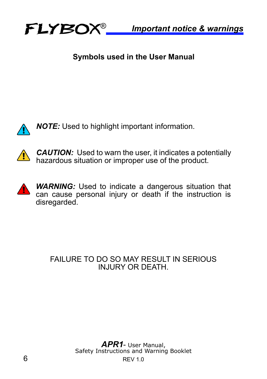

#### **Symbols used in the User Manual**



*NOTE:* Used to highlight important information.



**CAUTION:** Used to warn the user, it indicates a potentially hazardous situation or improper use of the product.



#### FAILURE TO DO SO MAY RESULT IN SERIOUS INJURY OR DEATH.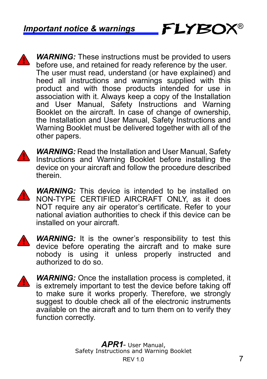**WARNING:** These instructions must be provided to users before use, and retained for ready reference by the user. The user must read, understand (or have explained) and heed all instructions and warnings supplied with this product and with those products intended for use in association with it. Always keep a copy of the Installation and User Manual, Safety Instructions and Warning Booklet on the aircraft. In case of change of ownership, the Installation and User Manual, Safety Instructions and Warning Booklet must be delivered together with all of the other papers.

**FLYBOX®** 



*WARNING:* Read the Installation and User Manual, Safety Instructions and Warning Booklet before installing the device on your aircraft and follow the procedure described therein.

**WARNING:** This device is intended to be installed on NON-TYPE CERTIFIED AIRCRAFT ONLY, as it does NOT require any air operator's certificate. Refer to your national aviation authorities to check if this device can be installed on your aircraft.



**WARNING:** It is the owner's responsibility to test this device before operating the aircraft and to make sure nobody is using it unless properly instructed and authorized to do so.



*WARNING:* Once the installation process is completed, it is extremely important to test the device before taking off to make sure it works properly. Therefore, we strongly suggest to double check all of the electronic instruments available on the aircraft and to turn them on to verify they function correctly.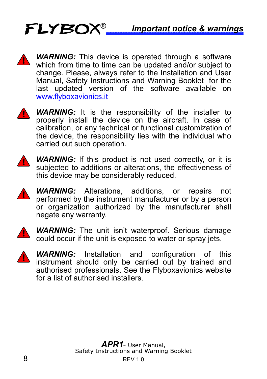

**WARNING:** This device is operated through a software which from time to time can be updated and/or subject to change. Please, always refer to the Installation and User Manual, Safety Instructions and Warning Booklet for the last updated version of the software available on www.flyboxavionics.it



**WARNING:** It is the responsibility of the installer to properly install the device on the aircraft. In case of calibration, or any technical or functional customization of the device, the responsibility lies with the individual who carried out such operation.



**WARNING:** If this product is not used correctly, or it is subjected to additions or alterations, the effectiveness of this device may be considerably reduced.



*WARNING:* Alterations, additions, or repairs not performed by the instrument manufacturer or by a person or organization authorized by the manufacturer shall negate any warranty.



**WARNING:** The unit isn't waterproof. Serious damage could occur if the unit is exposed to water or spray jets.



*WARNING:* Installation and configuration of this instrument should only be carried out by trained and authorised professionals. See the Flyboxavionics website for a list of authorised installers.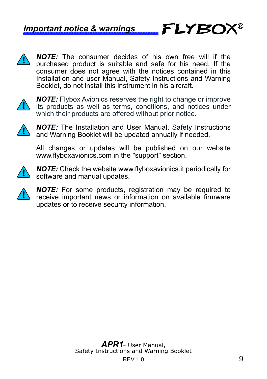*NOTE:* The consumer decides of his own free will if the purchased product is suitable and safe for his need. If the consumer does not agree with the notices contained in this Installation and user Manual, Safety Instructions and Warning Booklet, do not install this instrument in his aircraft.



*NOTE:* Flybox Avionics reserves the right to change or improve its products as well as terms, conditions, and notices under which their products are offered without prior notice.



*NOTE:* The Installation and User Manual, Safety Instructions and Warning Booklet will be updated annually if needed.

All changes or updates will be published on our website www.flyboxavionics.com in the "support" section.



*NOTE:* Check the website www.flyboxavionics.it periodically for software and manual updates.



*NOTE:* For some products, registration may be required to receive important news or information on available firmware updates or to receive security information.

®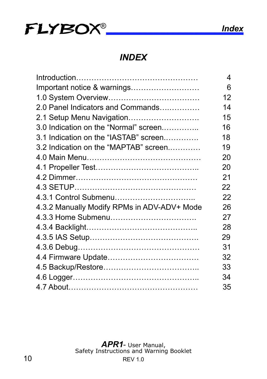

*INDEX*

|                                             | 4  |
|---------------------------------------------|----|
| Important notice & warnings                 | 6  |
|                                             | 12 |
| 2.0 Panel Indicators and Commands           | 14 |
| 2.1 Setup Menu Navigation                   | 15 |
| 3.0 Indication on the "Normal" screen       | 16 |
| 3.1 Indication on the "IASTAB" screen       | 18 |
| 3.2 Indication on the "MAPTAB" screen       | 19 |
|                                             | 20 |
|                                             | 20 |
|                                             | 21 |
|                                             | 22 |
| 4.3.1 Control Submenu                       | 22 |
| 4.3.2 Manually Modify RPMs in ADV-ADV+ Mode | 26 |
|                                             | 27 |
|                                             | 28 |
|                                             | 29 |
|                                             | 31 |
|                                             | 32 |
|                                             | 33 |
|                                             | 34 |
|                                             | 35 |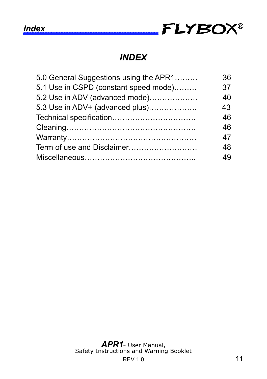

#### *INDEX*

| 5.0 General Suggestions using the APR1 | 36 |
|----------------------------------------|----|
| 5.1 Use in CSPD (constant speed mode)  | 37 |
| 5.2 Use in ADV (advanced mode)         | 40 |
| 5.3 Use in ADV+ (advanced plus)        | 43 |
| Technical specification                | 46 |
|                                        | 46 |
|                                        | 47 |
| Term of use and Disclaimer             | 48 |
|                                        | 49 |
|                                        |    |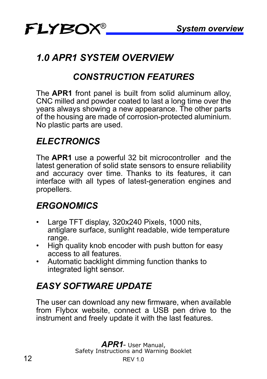# *1.0 APR1 SYSTEM OVERVIEW*

## *CONSTRUCTION FEATURES*

The **APR1** front panel is built from solid aluminum alloy, CNC milled and powder coated to last a long time over the years always showing a new appearance. The other parts of the housing are made of corrosion-protected aluminium. No plastic parts are used.

#### *ELECTRONICS*

The **APR1** use a powerful 32 bit microcontroller and the latest generation of solid state sensors to ensure reliability and accuracy over time. Thanks to its features, it can interface with all types of latest-generation engines and propellers.

## *ERGONOMICS*

- Large TFT display, 320x240 Pixels, 1000 nits, antiglare surface, sunlight readable, wide temperature range.
- High quality knob encoder with push button for easy access to all features.
- Automatic backlight dimming function thanks to integrated light sensor.

# *EASY SOFTWARE UPDATE*

The user can download any new firmware, when available from Flybox website, connect a USB pen drive to the instrument and freely update it with the last features.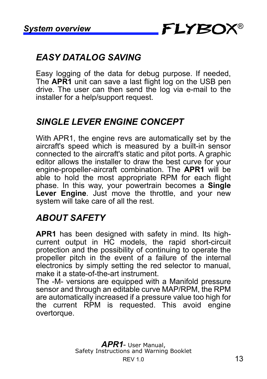## *EASY DATALOG SAVING*

Easy logging of the data for debug purpose. If needed, The **APR1** unit can save a last flight log on the USB pen drive. The user can then send the log via e-mail to the installer for a help/support request.

#### *SINGLE LEVER ENGINE CONCEPT*

With APR1, the engine revs are automatically set by the aircraft's speed which is measured by a built-in sensor connected to the aircraft's static and pitot ports. A graphic editor allows the installer to draw the best curve for your engine-propeller-aircraft combination. The **APR1** will be able to hold the most appropriate RPM for each flight phase. In this way, your powertrain becomes a **Single Lever Engine**. Just move the throttle, and your new system will take care of all the rest.

## *ABOUT SAFETY*

**APR1** has been designed with safety in mind. Its highcurrent output in HC models, the rapid short-circuit protection and the possibility of continuing to operate the propeller pitch in the event of a failure of the internal electronics by simply setting the red selector to manual, make it a state-of-the-art instrument.

The -M- versions are equipped with a Manifold pressure sensor and through an editable curve MAP/RPM, the RPM are automatically increased if a pressure value too high for the current RPM is requested. This avoid engine overtorque.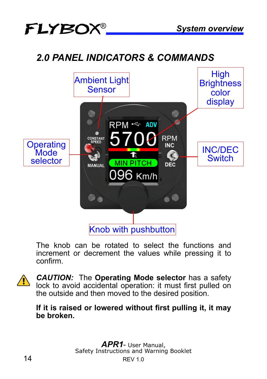# *2.0 PANEL INDICATORS & COMMANDS*



The knob can be rotated to select the functions and increment or decrement the values while pressing it to confirm.



*CAUTION:* The **Operating Mode selector** has a safety lock to avoid accidental operation: it must first pulled on the outside and then moved to the desired position.

#### **If it is raised or lowered without first pulling it, it may be broken.**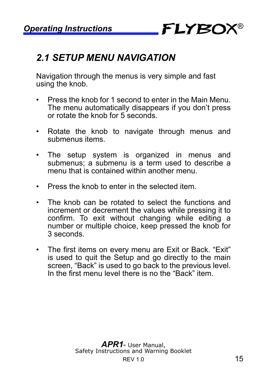

# *2.1 SETUP MENU NAVIGATION*

Navigation through the menus is very simple and fast using the knob.

- Press the knob for 1 second to enter in the Main Menu. The menu automatically disappears if you don't press or rotate the knob for 5 seconds.
- Rotate the knob to navigate through menus and submenus items.
- The setup system is organized in menus and submenus; a submenu is a term used to describe a menu that is contained within another menu.
- Press the knob to enter in the selected item.
- The knob can be rotated to select the functions and increment or decrement the values while pressing it to confirm. To exit without changing while editing a number or multiple choice, keep pressed the knob for 3 seconds.
- The first items on every menu are Exit or Back. "Exit" is used to quit the Setup and go directly to the main screen, "Back" is used to go back to the previous level. In the first menu level there is no the "Back" item.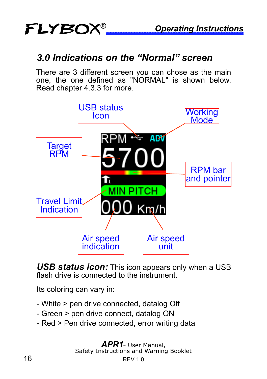## *3.0 Indications on the "Normal" screen*

There are 3 different screen you can chose as the main one, the one defined as "NORMAL" is shown below. Read chapter 4.3.3 for more.



*USB status icon:* This icon appears only when a USB flash drive is connected to the instrument.

Its coloring can vary in:

- White > pen drive connected, datalog Off
- Green > pen drive connect, datalog ON
- Red > Pen drive connected, error writing data

16 REV 1.0 *APR1*- User Manual, Safety Instructions and Warning Booklet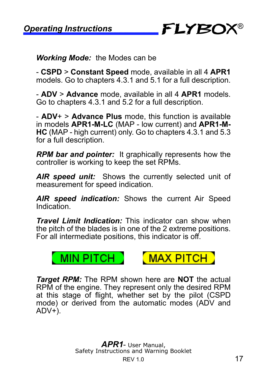®

*Working Mode:* the Modes can be

- **CSPD** > **Constant Speed** mode, available in all 4 **APR1** models. Go to chapters 4.3.1 and 5.1 for a full description.

- **ADV** > **Advance** mode, available in all 4 **APR1** models. Go to chapters 4.3.1 and 5.2 for a full description.

- **ADV**+ > **Advance Plus** mode, this function is available in models **APR1-M-LC** (MAP - low current) and **APR1-M-HC** (MAP - high current) only. Go to chapters 4.3.1 and 5.3 for a full description.

*RPM bar and pointer:* It graphically represents how the controller is working to keep the set RPMs.

*AIR speed unit:* Shows the currently selected unit of measurement for speed indication.

*AIR speed indication:* Shows the current Air Speed Indication.

*Travel Limit Indication:* This indicator can show when the pitch of the blades is in one of the 2 extreme positions. For all intermediate positions, this indicator is off.





*Target RPM:* The RPM shown here are **NOT** the actual RPM of the engine. They represent only the desired RPM at this stage of flight, whether set by the pilot (CSPD mode) or derived from the automatic modes (ADV and ADV+).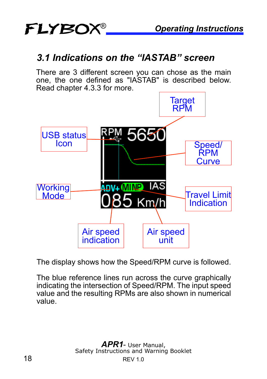## *3.1 Indications on the "IASTAB" screen*

There are 3 different screen you can chose as the main one, the one defined as "IASTAB" is described below. Read chapter 4.3.3 for more.



The display shows how the Speed/RPM curve is followed.

The blue reference lines run across the curve graphically indicating the intersection of Speed/RPM. The input speed value and the resulting RPMs are also shown in numerical value.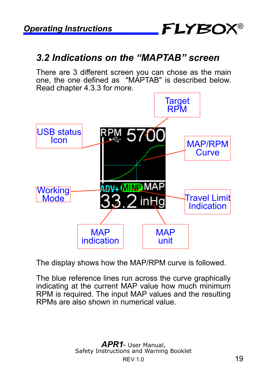

#### *3.2 Indications on the "MAPTAB" screen*

There are 3 different screen you can chose as the main one, the one defined as "MAPTAB" is described below. Read chapter 4.3.3 for more.



The display shows how the MAP/RPM curve is followed.

The blue reference lines run across the curve graphically indicating at the current MAP value how much minimum RPM is required. The input MAP values and the resulting RPMs are also shown in numerical value.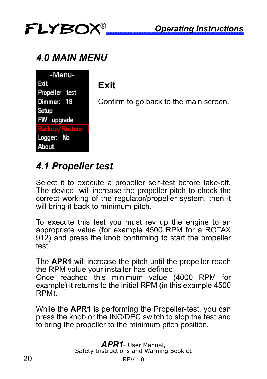

# *4.0 MAIN MENU*

| -Menu-         |  |
|----------------|--|
| Exit           |  |
| Propeller test |  |
| Dimmer: 19     |  |
| Setup          |  |
| FW upgrade     |  |
| <b>Rasion</b>  |  |
| Logger: No     |  |
| About          |  |

# **Exit**

Confirm to go back to the main screen.

# *4.1 Propeller test*

Select it to execute a propeller self-test before take-off. The device will increase the propeller pitch to check the correct working of the regulator/propeller system, then it will bring it back to minimum pitch.

To execute this test you must rev up the engine to an appropriate value (for example 4500 RPM for a ROTAX 912) and press the knob confirming to start the propeller test.

The **APR1** will increase the pitch until the propeller reach the RPM value your installer has defined.

Once reached this minimum value (4000 RPM for example) it returns to the initial RPM (in this example 4500 RPM).

While the **APR1** is performing the Propeller-test, you can press the knob or the INC/DEC switch to stop the test and to bring the propeller to the minimum pitch position.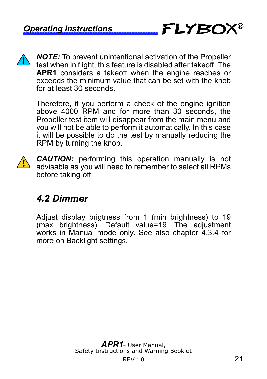

*NOTE:* To prevent unintentional activation of the Propeller test when in flight, this feature is disabled after takeoff. The APR1 considers a takeoff when the engine reaches or exceeds the minimum value that can be set with the knob for at least 30 seconds.

Therefore, if you perform a check of the engine ignition above 4000 RPM and for more than 30 seconds, the Propeller test item will disappear from the main menu and you will not be able to perform it automatically. In this case it will be possible to do the test by manually reducing the RPM by turning the knob.



*CAUTION:* performing this operation manually is not advisable as you will need to remember to select all RPMs before taking off.

# *4.2 Dimmer*

Adjust display brigtness from 1 (min brightness) to 19 (max brightness). Default value=19. The adjustment works in Manual mode only. See also chapter 4.3.4 for more on Backlight settings.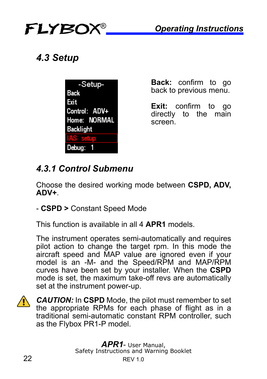

# *4.3 Setup*

| -Setup-       |  |  |
|---------------|--|--|
| Back          |  |  |
| Exit          |  |  |
| Control: ADV+ |  |  |
| Home: NORMAL  |  |  |
| Backlight     |  |  |
|               |  |  |
| Debug:        |  |  |

**Back:** confirm to go back to previous menu.

**Exit:** confirm to go directly to the main screen.

# *4.3.1 Control Submenu*

Choose the desired working mode between **CSPD, ADV, ADV+**.

- **CSPD >** Constant Speed Mode

This function is available in all 4 **APR1** models.

The instrument operates semi-automatically and requires pilot action to change the target rpm. In this mode the aircraft speed and MAP value are ignored even if your model is an -M- and the Speed/RPM and MAP/RPM curves have been set by your installer. When the **CSPD** mode is set, the maximum take-off revs are automatically set at the instrument power-up.



*CAUTION:* In **CSPD** Mode, the pilot must remember to set the appropriate RPMs for each phase of flight as in a traditional semi-automatic constant RPM controller, such as the Flybox PR1-P model.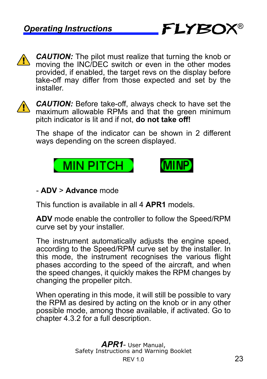

**CAUTION:** The pilot must realize that turning the knob or moving the INC/DEC switch or even in the other modes provided, if enabled, the target revs on the display before take-off may differ from those expected and set by the installer.



*CAUTION:* Before take-off, always check to have set the maximum allowable RPMs and that the green minimum pitch indicator is lit and if not, **do not take off!**

The shape of the indicator can be shown in 2 different ways depending on the screen displayed.





#### - **ADV** > **Advance** mode

This function is available in all 4 **APR1** models.

**ADV** mode enable the controller to follow the Speed/RPM curve set by your installer.

The instrument automatically adjusts the engine speed, according to the Speed/RPM curve set by the installer. In this mode, the instrument recognises the various flight phases according to the speed of the aircraft, and when the speed changes, it quickly makes the RPM changes by changing the propeller pitch.

When operating in this mode, it will still be possible to vary the RPM as desired by acting on the knob or in any other possible mode, among those available, if activated. Go to chapter 4.3.2 for a full description.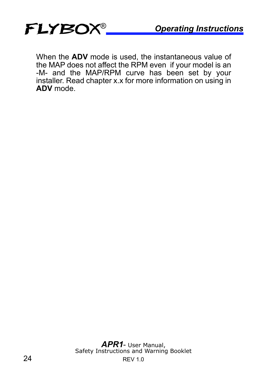

When the **ADV** mode is used, the instantaneous value of the MAP does not affect the RPM even if your model is an -M- and the MAP/RPM curve has been set by your installer. Read chapter x.x for more information on using in **ADV** mode.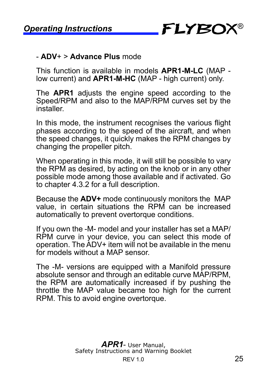

#### - **ADV**+ > **Advance Plus** mode

This function is available in models **APR1-M-LC** (MAP low current) and **APR1-M-HC** (MAP - high current) only.

The **APR1** adjusts the engine speed according to the Speed/RPM and also to the MAP/RPM curves set by the installer.

In this mode, the instrument recognises the various flight phases according to the speed of the aircraft, and when the speed changes, it quickly makes the RPM changes by changing the propeller pitch.

When operating in this mode, it will still be possible to vary the RPM as desired, by acting on the knob or in any other possible mode among those available and if activated. Go to chapter 4.3.2 for a full description.

Because the **ADV+** mode continuously monitors the MAP value, in certain situations the RPM can be increased automatically to prevent overtorque conditions.

If you own the -M- model and your installer has set a MAP/ RPM curve in your device, you can select this mode of operation. The ADV+ item will not be available in the menu for models without a MAP sensor

The -M- versions are equipped with a Manifold pressure absolute sensor and through an editable curve MAP/RPM, the RPM are automatically increased if by pushing the throttle the MAP value became too high for the current RPM. This to avoid engine overtorque.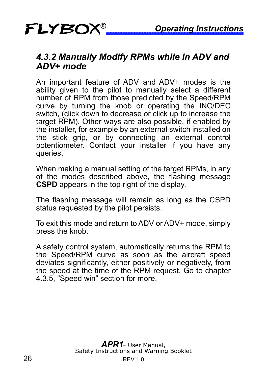#### *4.3.2 Manually Modify RPMs while in ADV and ADV+ mode*

An important feature of ADV and ADV+ modes is the ability given to the pilot to manually select a different number of RPM from those predicted by the Speed/RPM curve by turning the knob or operating the INC/DEC switch, (click down to decrease or click up to increase the target RPM). Other ways are also possible, if enabled by the installer, for example by an external switch installed on the stick grip, or by connecting an external control potentiometer. Contact your installer if you have any queries.

When making a manual setting of the target RPMs, in any of the modes described above, the flashing message **CSPD** appears in the top right of the display.

The flashing message will remain as long as the CSPD status requested by the pilot persists.

To exit this mode and return to ADV or ADV+ mode, simply press the knob.

A safety control system, automatically returns the RPM to the Speed/RPM curve as soon as the aircraft speed deviates significantly, either positively or negatively, from the speed at the time of the RPM request. Go to chapter 4.3.5, "Speed win" section for more.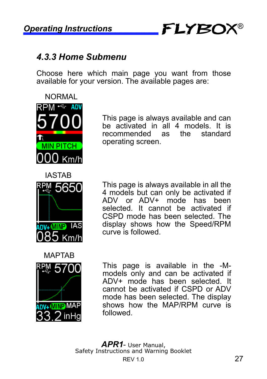®

#### *4.3.3 Home Submenu*

Choose here which main page you want from those available for your version. The available pages are:



**IASTAR** RPM 5650 ANY-MIND IAS

This page is always available and can be activated in all 4 models. It is recommended as the standard operating screen.

This page is always available in all the 4 models but can only be activated if ADV or ADV+ mode has been selected. It cannot be activated if CSPD mode has been selected. The display shows how the Speed/RPM curve is followed.



This page is available in the -Mmodels only and can be activated if ADV+ mode has been selected. It cannot be activated if CSPD or ADV mode has been selected. The display shows how the MAP/RPM curve is followed.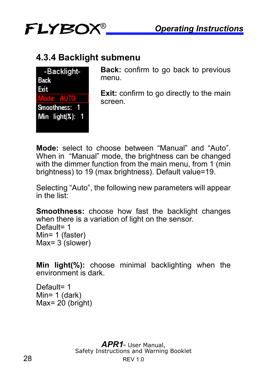

#### **4.3.4 Backlight submenu**

| -Backlight-      |
|------------------|
| Back             |
| Exit             |
| oder AllTI       |
| Smoothness:      |
| Min $light(X)$ : |
|                  |

**Back:** confirm to go back to previous menu.

**Exit:** confirm to go directly to the main screen.

**Mode:** select to choose between "Manual" and "Auto". When in "Manual" mode, the brightness can be changed with the dimmer function from the main menu, from 1 (min brightness) to 19 (max brightness). Default value=19.

Selecting "Auto", the following new parameters will appear in the list:

**Smoothness:** choose how fast the backlight changes when there is a variation of light on the sensor. Default= 1 Min= 1 (faster) Max= $3$  (slower)

**Min light(%):** choose minimal backlighting when the environment is dark.

Default= 1 Min= 1 (dark) Max $= 20$  (bright)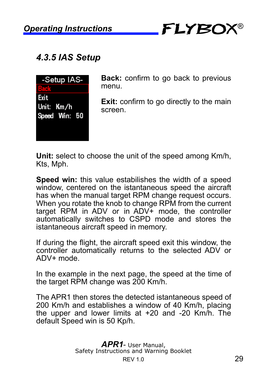

## *4.3.5 IAS Setup*



**Back:** confirm to go back to previous menu.

**Exit:** confirm to go directly to the main screen.

**Unit:** select to choose the unit of the speed among Km/h, Kts, Mph.

**Speed win:** this value estabilishes the width of a speed window, centered on the istantaneous speed the aircraft has when the manual target RPM change request occurs. When you rotate the knob to change RPM from the current target RPM in ADV or in ADV+ mode, the controller automatically switches to CSPD mode and stores the istantaneous aircraft speed in memory.

If during the flight, the aircraft speed exit this window, the controller automatically returns to the selected ADV or ADV+ mode.

In the example in the next page, the speed at the time of the target RPM change was 200 Km/h.

The APR1 then stores the detected istantaneous speed of 200 Km/h and establishes a window of 40 Km/h, placing the upper and lower limits at +20 and -20 Km/h. The default Speed win is 50 Kp/h.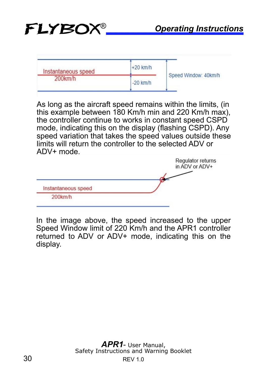| Instantaneous speed | $+20$ km/h |                      |
|---------------------|------------|----------------------|
| $200$ km/h          | $-20$ km/h | Speed Window: 40km/h |

As long as the aircraft speed remains within the limits, (in this example between 180 Km/h min and 220 Km/h max), the controller continue to works in constant speed CSPD mode, indicating this on the display (flashing CSPD). Any speed variation that takes the speed values outside these limits will return the controller to the selected ADV or ADV+ mode.

|                     | Regulator returns<br>in ADV or ADV+ |
|---------------------|-------------------------------------|
| Instantaneous speed |                                     |
| 200km/h             |                                     |

In the image above, the speed increased to the upper Speed Window limit of 220 Km/h and the APR1 controller returned to ADV or ADV+ mode, indicating this on the display.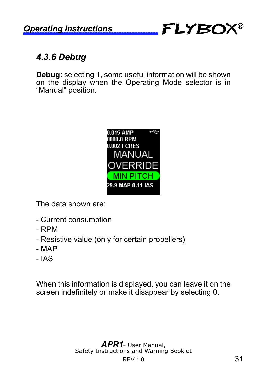

## *4.3.6 Debug*

**Debug:** selecting 1, some useful information will be shown on the display when the Operating Mode selector is in "Manual" position.



The data shown are:

- Current consumption
- RPM
- Resistive value (only for certain propellers)
- MAP
- IAS

When this information is displayed, you can leave it on the screen indefinitely or make it disappear by selecting 0.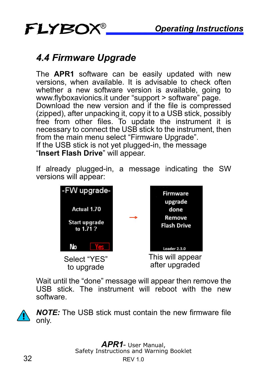# *4.4 Firmware Upgrade*

FLYBOX®

The **APR1** software can be easily updated with new versions, when available. It is advisable to check often whether a new software version is available, going to www.flyboxavionics.it under "support > software" page. Download the new version and if the file is compressed (zipped), after unpacking it, copy it to a USB stick, possibly free from other files. To update the instrument it is necessary to connect the USB stick to the instrument, then from the main menu select "Firmware Upgrade". If the USB stick is not yet plugged-in, the message "**Insert Flash Drive**" will appear.

If already plugged-in, a message indicating the SW versions will appear:



Wait until the "done" message will appear then remove the USB stick. The instrument will reboot with the new software.

*NOTE:* The USB stick must contain the new firmware file only.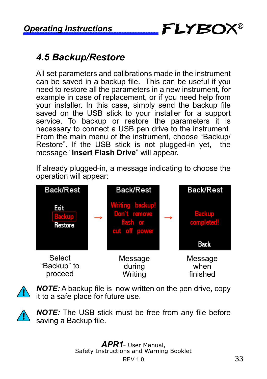# **Operating Instructions FLYBOX<sup>®</sup>**

# *4.5 Backup/Restore*

All set parameters and calibrations made in the instrument can be saved in a backup file. This can be useful if you need to restore all the parameters in a new instrument, for example in case of replacement, or if you need help from your installer. In this case, simply send the backup file saved on the USB stick to your installer for a support service. To backup or restore the parameters it is necessary to connect a USB pen drive to the instrument. From the main menu of the instrument, choose "Backup/ Restore". If the USB stick is not plugged-in yet, the message "**Insert Flash Drive**" will appear.

If already plugged-in, a message indicating to choose the operation will appear:



*NOTE:* A backup file is now written on the pen drive, copy it to a safe place for future use.

*NOTE:* The USB stick must be free from any file before saving a Backup file.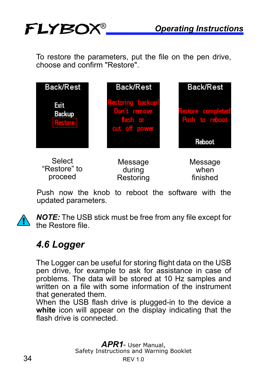To restore the parameters, put the file on the pen drive, choose and confirm "Restore".



Push now the knob to reboot the software with the updated parameters.



*NOTE:* The USB stick must be free from any file except for the Restore file.

## *4.6 Logger*

FLYBOX®

The Logger can be useful for storing flight data on the USB pen drive, for example to ask for assistance in case of problems. The data will be stored at 10 Hz samples and written on a file with some information of the instrument that generated them.

When the USB flash drive is plugged-in to the device a white icon will appear on the display indicating that the flash drive is connected.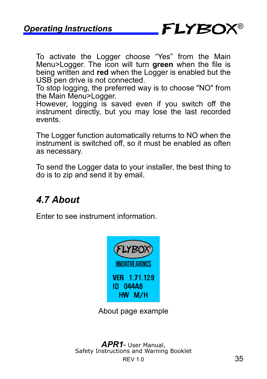

To activate the Logger choose "Yes" from the Main Menu>Logger. The icon will turn **green** when the file is being written and **red** when the Logger is enabled but the USB pen drive is not connected.

To stop logging, the preferred way is to choose "NO" from the Main Menu>Logger.

However, logging is saved even if you switch off the instrument directly, but you may lose the last recorded events.

The Logger function automatically returns to NO when the instrument is switched off, so it must be enabled as often as necessary.

To send the Logger data to your installer, the best thing to do is to zip and send it by email.

# *4.7 About*

Enter to see instrument information.



About page example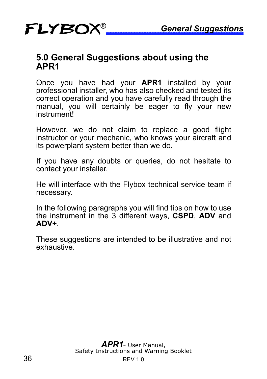# FLYBOX *General Suggestions* ®

#### **5.0 General Suggestions about using the APR1**

Once you have had your **APR1** installed by your professional installer, who has also checked and tested its correct operation and you have carefully read through the manual, you will certainly be eager to fly your new instrument!

However, we do not claim to replace a good flight instructor or your mechanic, who knows your aircraft and its powerplant system better than we do.

If you have any doubts or queries, do not hesitate to contact your installer.

He will interface with the Flybox technical service team if necessary.

In the following paragraphs you will find tips on how to use the instrument in the 3 different ways, **CSPD**, **ADV** and **ADV+**.

These suggestions are intended to be illustrative and not exhaustive.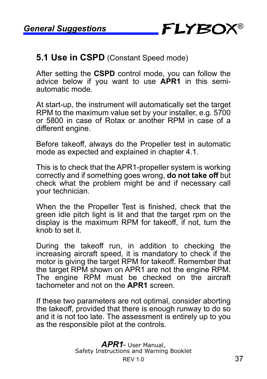

#### **5.1 Use in CSPD** (Constant Speed mode)

After setting the **CSPD** control mode, you can follow the advice below if you want to use **APR1** in this semiautomatic mode.

At start-up, the instrument will automatically set the target RPM to the maximum value set by your installer, e.g. 5700 or 5800 in case of Rotax or another RPM in case of a different engine.

Before takeoff, always do the Propeller test in automatic mode as expected and explained in chapter 4.1.

This is to check that the APR1-propeller system is working correctly and if something goes wrong, **do not take off** but check what the problem might be and if necessary call your technician.

When the the Propeller Test is finished, check that the green idle pitch light is lit and that the target rpm on the display is the maximum RPM for takeoff, if not, turn the knob to set it.

During the takeoff run, in addition to checking the increasing aircraft speed, it is mandatory to check if the motor is giving the target RPM for takeoff. Remember that the target RPM shown on APR1 are not the engine RPM. The engine RPM must be checked on the aircraft tachometer and not on the **APR1** screen.

If these two parameters are not optimal, consider aborting the takeoff, provided that there is enough runway to do so and it is not too late. The assessment is entirely up to you as the responsible pilot at the controls.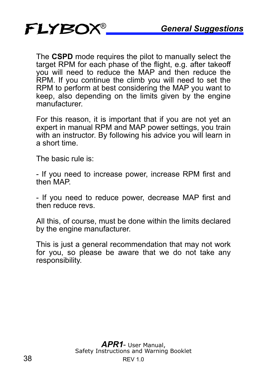

The **CSPD** mode requires the pilot to manually select the target RPM for each phase of the flight, e.g. after takeoff you will need to reduce the MAP and then reduce the RPM. If you continue the climb you will need to set the RPM to perform at best considering the MAP you want to keep, also depending on the limits given by the engine manufacturer.

For this reason, it is important that if you are not yet an expert in manual RPM and MAP power settings, you train with an instructor. By following his advice you will learn in a short time.

The basic rule is:

- If you need to increase power, increase RPM first and then MAP.

- If you need to reduce power, decrease MAP first and then reduce revs.

All this, of course, must be done within the limits declared by the engine manufacturer.

This is just a general recommendation that may not work for you, so please be aware that we do not take any responsibility.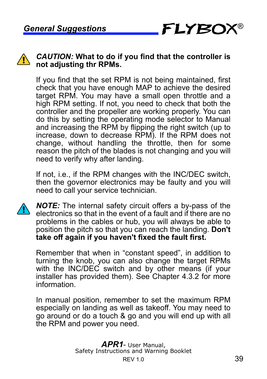

#### *CAUTION:* **What to do if you find that the controller is not adjusting thr RPMs.**

If you find that the set RPM is not being maintained, first check that you have enough MAP to achieve the desired target RPM. You may have a small open throttle and a high RPM setting. If not, you need to check that both the controller and the propeller are working properly. You can do this by setting the operating mode selector to Manual and increasing the RPM by flipping the right switch (up to increase, down to decrease RPM). If the RPM does not change, without handling the throttle, then for some reason the pitch of the blades is not changing and you will need to verify why after landing.

If not, i.e., if the RPM changes with the INC/DEC switch, then the governor electronics may be faulty and you will need to call your service technician.

*NOTE:* The internal safety circuit offers a by-pass of the electronics so that in the event of a fault and if there are no problems in the cables or hub, you will always be able to position the pitch so that you can reach the landing. **Don't take off again if you haven't fixed the fault first.**

Remember that when in "constant speed", in addition to turning the knob, you can also change the target RPMs with the INC/DEC switch and by other means (if your installer has provided them). See Chapter 4.3.2 for more information.

In manual position, remember to set the maximum RPM especially on landing as well as takeoff. You may need to go around or do a touch & go and you will end up with all the RPM and power you need.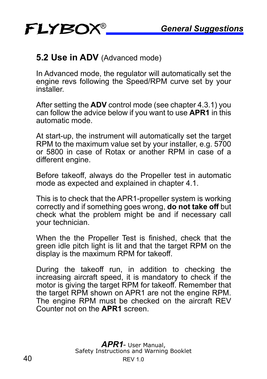#### **5.2 Use in ADV** (Advanced mode)

In Advanced mode, the regulator will automatically set the engine revs following the Speed/RPM curve set by your installer.

After setting the **ADV** control mode (see chapter 4.3.1) you can follow the advice below if you want to use **APR1** in this automatic mode.

At start-up, the instrument will automatically set the target RPM to the maximum value set by your installer, e.g. 5700 or 5800 in case of Rotax or another RPM in case of a different engine.

Before takeoff, always do the Propeller test in automatic mode as expected and explained in chapter 4.1.

This is to check that the APR1-propeller system is working correctly and if something goes wrong, **do not take off** but check what the problem might be and if necessary call your technician.

When the the Propeller Test is finished, check that the green idle pitch light is lit and that the target RPM on the display is the maximum RPM for takeoff.

During the takeoff run, in addition to checking the increasing aircraft speed, it is mandatory to check if the motor is giving the target RPM for takeoff. Remember that the target RPM shown on APR1 are not the engine RPM. The engine RPM must be checked on the aircraft REV Counter not on the **APR1** screen.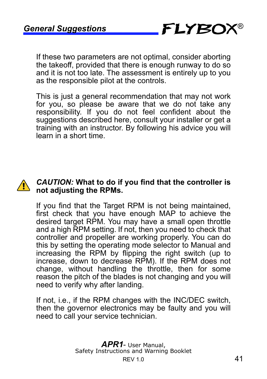If these two parameters are not optimal, consider aborting the takeoff, provided that there is enough runway to do so and it is not too late. The assessment is entirely up to you as the responsible pilot at the controls.

This is just a general recommendation that may not work for you, so please be aware that we do not take any responsibility. If you do not feel confident about the suggestions described here, consult your installer or get a training with an instructor. By following his advice you will learn in a short time.



#### *CAUTION:* **What to do if you find that the controller is not adjusting the RPMs.**

If you find that the Target RPM is not being maintained, first check that you have enough MAP to achieve the desired target RPM. You may have a small open throttle and a high RPM setting. If not, then you need to check that controller and propeller are working properly. You can do this by setting the operating mode selector to Manual and increasing the RPM by flipping the right switch (up to increase, down to decrease RPM). If the RPM does not change, without handling the throttle, then for some reason the pitch of the blades is not changing and you will need to verify why after landing.

If not, i.e., if the RPM changes with the INC/DEC switch, then the governor electronics may be faulty and you will need to call your service technician.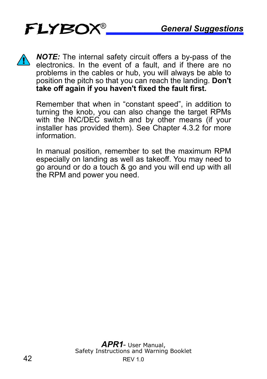

*NOTE:* The internal safety circuit offers a by-pass of the electronics. In the event of a fault, and if there are no problems in the cables or hub, you will always be able to position the pitch so that you can reach the landing. **Don't take off again if you haven't fixed the fault first.**

Remember that when in "constant speed", in addition to turning the knob, you can also change the target RPMs with the INC/DEC switch and by other means (if your installer has provided them). See Chapter 4.3.2 for more information.

In manual position, remember to set the maximum RPM especially on landing as well as takeoff. You may need to go around or do a touch & go and you will end up with all the RPM and power you need.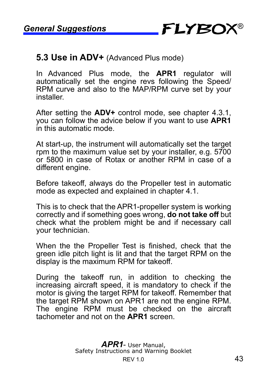

#### **5.3 Use in ADV+** (Advanced Plus mode)

In Advanced Plus mode, the **APR1** regulator will automatically set the engine revs following the Speed/ RPM curve and also to the MAP/RPM curve set by your installer.

After setting the **ADV+** control mode, see chapter 4.3.1, you can follow the advice below if you want to use **APR1** in this automatic mode.

At start-up, the instrument will automatically set the target rpm to the maximum value set by your installer, e.g. 5700 or 5800 in case of Rotax or another RPM in case of a different engine.

Before takeoff, always do the Propeller test in automatic mode as expected and explained in chapter 4.1.

This is to check that the APR1-propeller system is working correctly and if something goes wrong, **do not take off** but check what the problem might be and if necessary call your technician.

When the the Propeller Test is finished, check that the green idle pitch light is lit and that the target RPM on the display is the maximum RPM for takeoff.

During the takeoff run, in addition to checking the increasing aircraft speed, it is mandatory to check if the motor is giving the target RPM for takeoff. Remember that the target RPM shown on APR1 are not the engine RPM. The engine RPM must be checked on the aircraft tachometer and not on the **APR1** screen.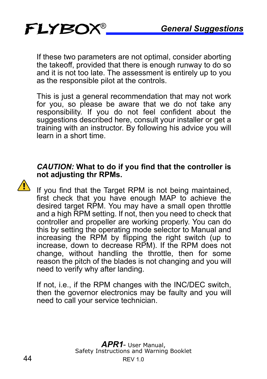If these two parameters are not optimal, consider aborting the takeoff, provided that there is enough runway to do so and it is not too late. The assessment is entirely up to you as the responsible pilot at the controls.

This is just a general recommendation that may not work for you, so please be aware that we do not take any responsibility. If you do not feel confident about the suggestions described here, consult your installer or get a training with an instructor. By following his advice you will learn in a short time.

#### *CAUTION:* **What to do if you find that the controller is not adjusting thr RPMs.**

If you find that the Target RPM is not being maintained, first check that you have enough MAP to achieve the desired target RPM. You may have a small open throttle and a high RPM setting. If not, then you need to check that controller and propeller are working properly. You can do this by setting the operating mode selector to Manual and increasing the RPM by flipping the right switch (up to increase, down to decrease RPM). If the RPM does not change, without handling the throttle, then for some reason the pitch of the blades is not changing and you will need to verify why after landing.

If not, i.e., if the RPM changes with the INC/DEC switch, then the governor electronics may be faulty and you will need to call your service technician.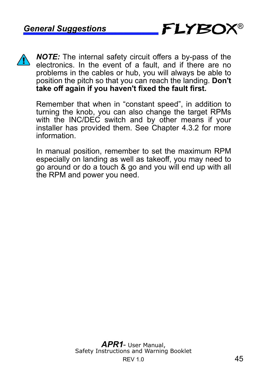

*NOTE:* The internal safety circuit offers a by-pass of the electronics. In the event of a fault, and if there are no problems in the cables or hub, you will always be able to position the pitch so that you can reach the landing. **Don't take off again if you haven't fixed the fault first.**

Remember that when in "constant speed", in addition to turning the knob, you can also change the target RPMs with the INC/DEC switch and by other means if your installer has provided them. See Chapter 4.3.2 for more information.

In manual position, remember to set the maximum RPM especially on landing as well as takeoff, you may need to go around or do a touch & go and you will end up with all the RPM and power you need.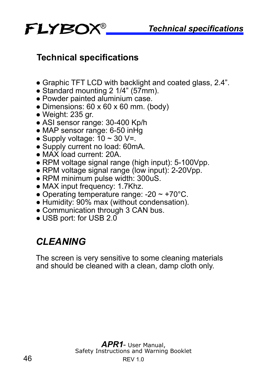

## **Technical specifications**

- Graphic TFT LCD with backlight and coated glass, 2.4".
- Standard mounting 2 1/4" (57mm).
- Powder painted aluminium case.
- Dimensions: 60 x 60 x 60 mm. (body)
- Weight: 235 gr.
- ASI sensor range: 30-400 Kp/h
- MAP sensor range: 6-50 inHg
- Supply voltage:  $10 \sim 30$  V=.
- Supply current no load: 60mA.
- MAX load current: 20A
- RPM voltage signal range (high input): 5-100Vpp.
- RPM voltage signal range (low input): 2-20Vpp.
- RPM minimum pulse width: 300uS.
- MAX input frequency: 1.7Khz.
- Operating temperature range:  $-20 \sim +70^{\circ}$ C.
- Humidity: 90% max (without condensation).
- Communication through 3 CAN bus.
- USB port: for USB 2.0

# *CLEANING*

The screen is very sensitive to some cleaning materials and should be cleaned with a clean, damp cloth only.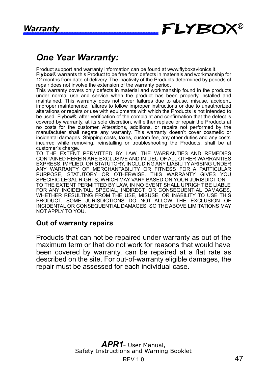#### Warranty **FLYBC** ®

## *One Year Warranty:*

Product support and warranty information can be found at www.flyboxavionics.it. **Flybox**® warrants this Product to be free from defects in materials and workmanship for 12 months from date of delivery. The inactivity of the Products determined by periods of repair does not involve the extension of the warranty period.

This warranty covers only defects in material and workmanship found in the products under normal use and service when the product has been properly installed and maintained. This warranty does not cover failures due to abuse, misuse, accident, improper maintenence, failures to follow improper instructions or due to unauthorized alterations or repairs or use with equipments with which the Products is not intended to be used. Flybox®, after verification of the complaint and confirmation that the defect is covered by warranty, at its sole discretion, will either replace or repair the Products at no costs for the customer. Alterations, additions, or repairs not performed by the manufactuter shall negate any warranty. This warranty doesn't cover cosmetic or incidental damages. Shipping costs, taxes, custom fee, any other duties and any costs incurred while removing, reinstalling or troubleshooting the Products, shall be at customer's charge.

TO THE EXTENT PERMITTED BY LAW, THE WARRANTIES AND REMEDIES CONTAINED HEREIN ARE EXCLUSIVE AND IN LIEU OF ALL OTHER WARRANTIES EXPRESS, IMPLIED, OR STATUTORY, INCLUDING ANY LIABILITY ARISING UNDER ANY WARRANTY OF MERCHANTABILITY OR FITNESS FOR A PARTICULAR PURPOSE, STATUTORY OR OTHERWISE. THIS WARRANTY GIVES YOU SPECIFIC LEGAL RIGHTS, WHICH MAY VARY BASED ON YOUR JURISDICTION. TO THE EXTENT PERMITTED BY LAW, IN NO EVENT SHALL UPRIGHT BE LIABLE FOR ANY INCIDENTAL, SPECIAL, INDIRECT, OR CONSEQUENTIAL DAMAGES, WHETHER RESULTING FROM THE USE, MISUSE, OR INABILITY TO USE THIS PRODUCT. SOME JURISDICTIONS DO NOT ALLOW THE EXCLUSION OF INCIDENTAL OR CONSEQUENTIAL DAMAGES, SO THE ABOVE LIMITATIONS MAY NOT APPLY TO YOU.

#### **Out of warranty repairs**

Products that can not be repaired under warranty as out of the maximum term or that do not work for reasons that would have been covered by warranty, can be repaired at a flat rate as described on the site. For out-of-warranty eligible damages, the repair must be assessed for each individual case.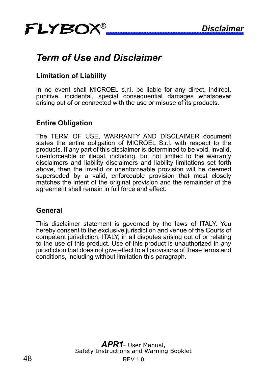# FLYBOX *Disclaimer* ®

# *Term of Use and Disclaimer*

#### **Limitation of Liability**

In no event shall MICROEL s.r.l. be liable for any direct, indirect, punitive, incidental, special consequential damages whatsoever arising out of or connected with the use or misuse of its products.

#### **Entire Obligation**

The TERM OF USE, WARRANTY AND DISCLAIMER document states the entire obligation of MICROEL S.r.l. with respect to the products. If any part of this disclaimer is determined to be void, invalid, unenforceable or illegal, including, but not limited to the warranty disclaimers and liability disclaimers and liability limitations set forth above, then the invalid or unenforceable provision will be deemed superseded by a valid, enforceable provision that most closely matches the intent of the original provision and the remainder of the agreement shall remain in full force and effect.

#### **General**

This disclaimer statement is governed by the laws of ITALY. You hereby consent to the exclusive jurisdiction and venue of the Courts of competent jurisdiction, ITALY, in all disputes arising out of or relating to the use of this product. Use of this product is unauthorized in any jurisdiction that does not give effect to all provisions of these terms and conditions, including without limitation this paragraph.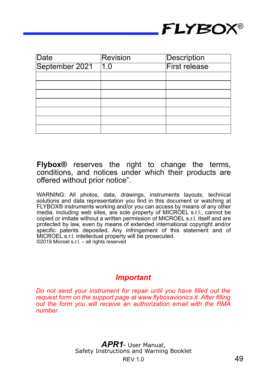

| Date           | <b>Revision</b>   | Description          |
|----------------|-------------------|----------------------|
| September 2021 | $\overline{11.0}$ | <b>First release</b> |
|                |                   |                      |
|                |                   |                      |
|                |                   |                      |
|                |                   |                      |
|                |                   |                      |
|                |                   |                      |
|                |                   |                      |

**Flybox®** reserves the right to change the terms, conditions, and notices under which their products are offered without prior notice".

WARNING: All photos, data, drawings, instruments layouts, technical solutions and data representation you find in this document or watching at FLYBOX® instruments working and/or you can access by means of any other media, including web sites, are sole property of MICROEL s.r.l., cannot be copied or imitate without a written permission of MICROEL s.r.l. itself and are protected by law, even by means of extended international copyright and/or specific patents deposited. Any infringement of this statement and of MICROEL s.r.l. intellectual property will be prosecuted. ©2019 Microel s.r.l. – all rights reserved

#### *Important*

*Do not send your instrument for repair until you have filled out the request form on the support page at www.flyboxavionics.it. After filling out the form you will receive an authorization email with the RMA number.*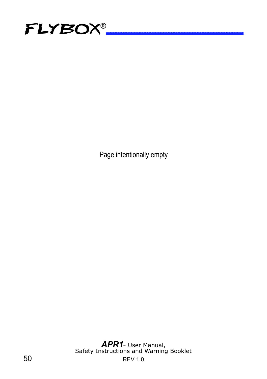

Page intentionally empty

50 REV 1.0 *APR1*- User Manual, Safety Instructions and Warning Booklet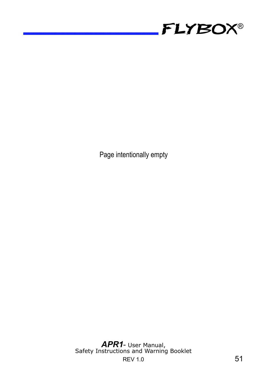

Page intentionally empty

REV 1.0 51 *APR1*- User Manual, Safety Instructions and Warning Booklet